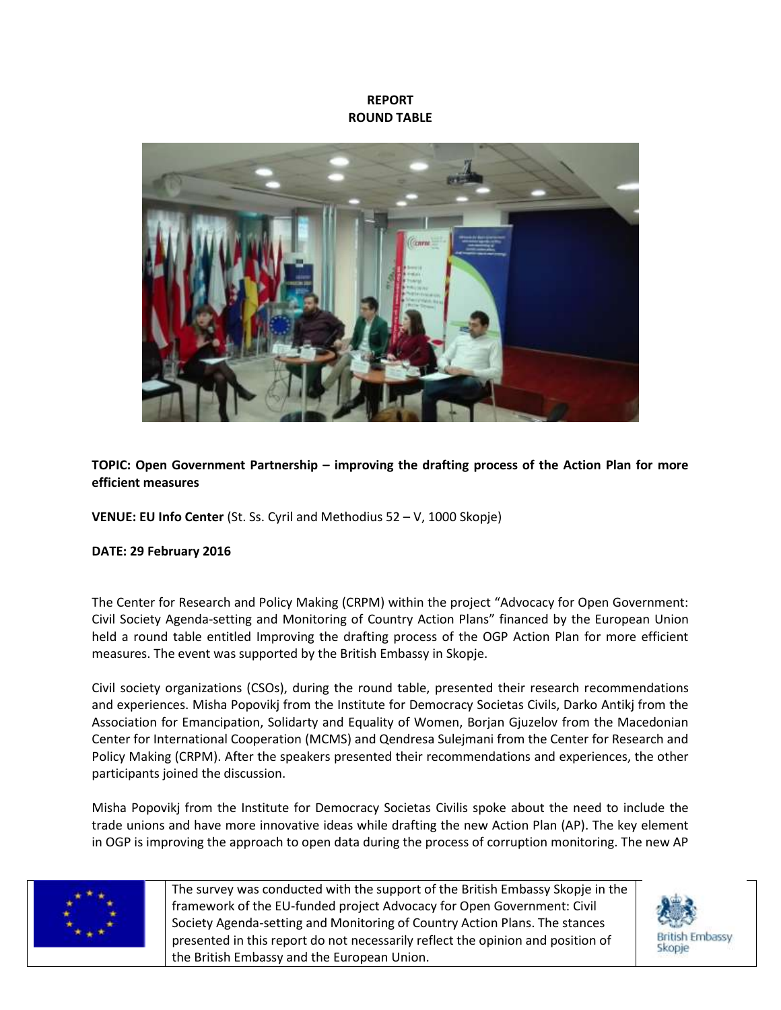## **REPORT ROUND TABLE**



## **TOPIC: Open Government Partnership – improving the drafting process of the Action Plan for more efficient measures**

**VENUE: EU Info Center** (St. Ss. Cyril and Methodius 52 – V, 1000 Skopje)

## **DATE: 29 February 2016**

The Center for Research and Policy Making (CRPM) within the project "Advocacy for Open Government: Civil Society Agenda-setting and Monitoring of Country Action Plans" financed by the European Union held a round table entitled Improving the drafting process of the OGP Action Plan for more efficient measures. The event was supported by the British Embassy in Skopje.

Civil society organizations (CSOs), during the round table, presented their research recommendations and experiences. Misha Popovikj from the Institute for Democracy Societas Civils, Darko Antikj from the Association for Emancipation, Solidarty and Equality of Women, Borjan Gjuzelov from the Macedonian Center for International Cooperation (MCMS) and Qendresa Sulejmani from the Center for Research and Policy Making (CRPM). After the speakers presented their recommendations and experiences, the other participants joined the discussion.

Misha Popovikj from the Institute for Democracy Societas Civilis spoke about the need to include the trade unions and have more innovative ideas while drafting the new Action Plan (AP). The key element in OGP is improving the approach to open data during the process of corruption monitoring. The new AP



The survey was conducted with the support of the British Embassy Skopje in the framework of the EU-funded project Advocacy for Open Government: Civil Society Agenda-setting and Monitoring of Country Action Plans. The stances presented in this report do not necessarily reflect the opinion and position of the British Embassy and the European Union.

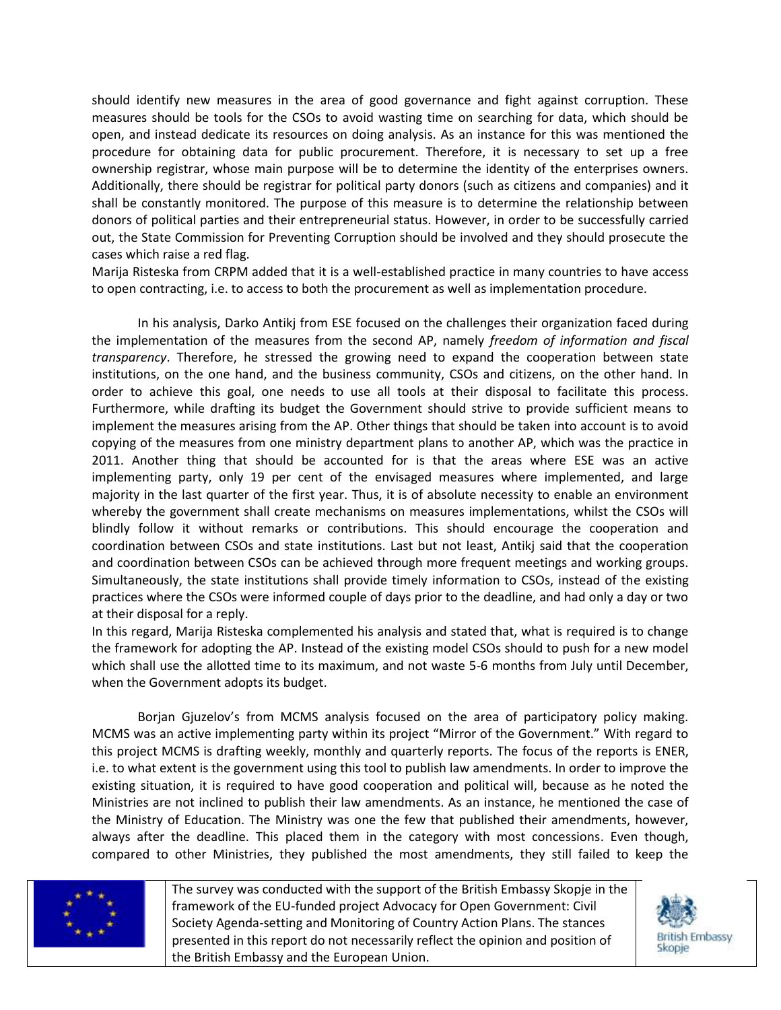should identify new measures in the area of good governance and fight against corruption. These measures should be tools for the CSOs to avoid wasting time on searching for data, which should be open, and instead dedicate its resources on doing analysis. As an instance for this was mentioned the procedure for obtaining data for public procurement. Therefore, it is necessary to set up a free ownership registrar, whose main purpose will be to determine the identity of the enterprises owners. Additionally, there should be registrar for political party donors (such as citizens and companies) and it shall be constantly monitored. The purpose of this measure is to determine the relationship between donors of political parties and their entrepreneurial status. However, in order to be successfully carried out, the State Commission for Preventing Corruption should be involved and they should prosecute the cases which raise a red flag.

Marija Risteska from CRPM added that it is a well-established practice in many countries to have access to open contracting, i.e. to access to both the procurement as well as implementation procedure.

In his analysis, Darko Antikj from ESE focused on the challenges their organization faced during the implementation of the measures from the second AP, namely *freedom of information and fiscal transparency*. Therefore, he stressed the growing need to expand the cooperation between state institutions, on the one hand, and the business community, CSOs and citizens, on the other hand. In order to achieve this goal, one needs to use all tools at their disposal to facilitate this process. Furthermore, while drafting its budget the Government should strive to provide sufficient means to implement the measures arising from the AP. Other things that should be taken into account is to avoid copying of the measures from one ministry department plans to another AP, which was the practice in 2011. Another thing that should be accounted for is that the areas where ESE was an active implementing party, only 19 per cent of the envisaged measures where implemented, and large majority in the last quarter of the first year. Thus, it is of absolute necessity to enable an environment whereby the government shall create mechanisms on measures implementations, whilst the CSOs will blindly follow it without remarks or contributions. This should encourage the cooperation and coordination between CSOs and state institutions. Last but not least, Antikj said that the cooperation and coordination between CSOs can be achieved through more frequent meetings and working groups. Simultaneously, the state institutions shall provide timely information to CSOs, instead of the existing practices where the CSOs were informed couple of days prior to the deadline, and had only a day or two at their disposal for a reply.

In this regard, Marija Risteska complemented his analysis and stated that, what is required is to change the framework for adopting the AP. Instead of the existing model CSOs should to push for a new model which shall use the allotted time to its maximum, and not waste 5-6 months from July until December, when the Government adopts its budget.

Borjan Gjuzelov's from MCMS analysis focused on the area of participatory policy making. MCMS was an active implementing party within its project "Mirror of the Government." With regard to this project MCMS is drafting weekly, monthly and quarterly reports. The focus of the reports is ENER, i.e. to what extent is the government using this tool to publish law amendments. In order to improve the existing situation, it is required to have good cooperation and political will, because as he noted the Ministries are not inclined to publish their law amendments. As an instance, he mentioned the case of the Ministry of Education. The Ministry was one the few that published their amendments, however, always after the deadline. This placed them in the category with most concessions. Even though, compared to other Ministries, they published the most amendments, they still failed to keep the



The survey was conducted with the support of the British Embassy Skopje in the framework of the EU-funded project Advocacy for Open Government: Civil Society Agenda-setting and Monitoring of Country Action Plans. The stances presented in this report do not necessarily reflect the opinion and position of the British Embassy and the European Union.